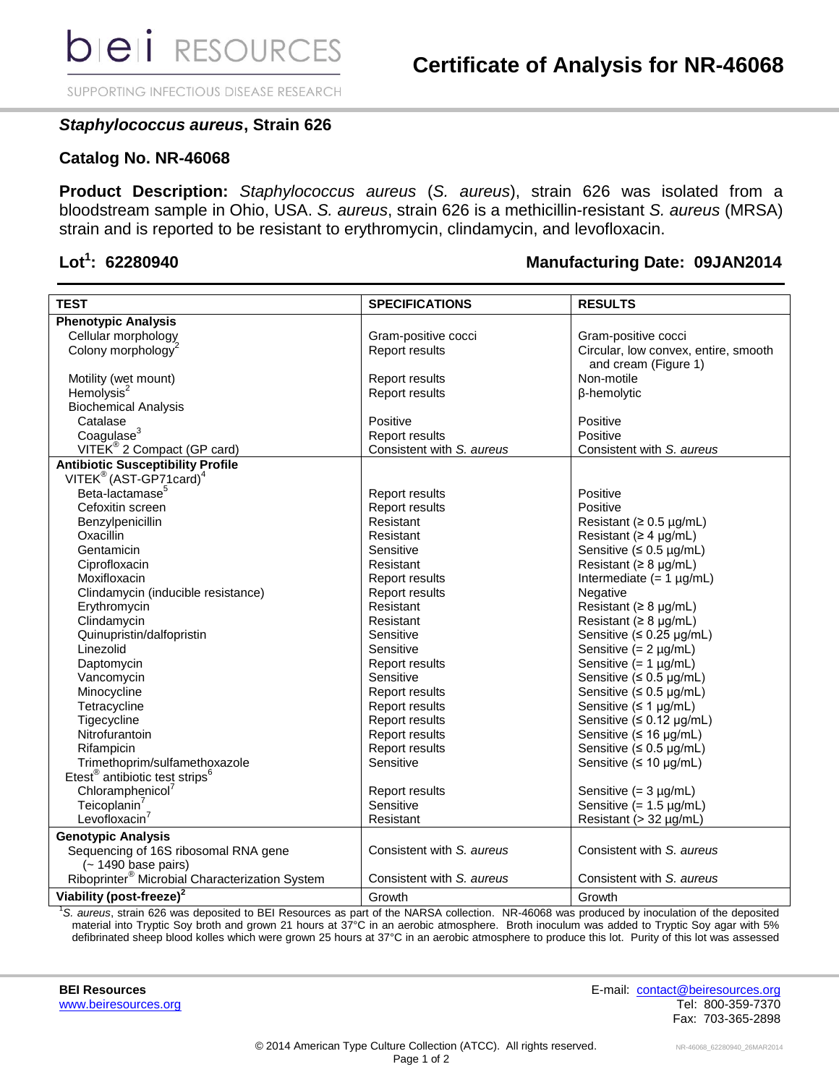SUPPORTING INFECTIOUS DISEASE RESEARCH

## *Staphylococcus aureus***, Strain 626**

## **Catalog No. NR-46068**

**Product Description:** *Staphylococcus aureus* (*S. aureus*), strain 626 was isolated from a bloodstream sample in Ohio, USA. *S. aureus*, strain 626 is a methicillin-resistant *S. aureus* (MRSA) strain and is reported to be resistant to erythromycin, clindamycin, and levofloxacin.

## Lot<sup>1</sup>: 62280940

## **: 62280940 Manufacturing Date: 09JAN2014**

| <b>TEST</b>                                                                       | <b>SPECIFICATIONS</b>     | <b>RESULTS</b>                       |
|-----------------------------------------------------------------------------------|---------------------------|--------------------------------------|
| <b>Phenotypic Analysis</b>                                                        |                           |                                      |
| Cellular morphology                                                               | Gram-positive cocci       | Gram-positive cocci                  |
| Colony morphology <sup>2</sup>                                                    | Report results            | Circular, low convex, entire, smooth |
|                                                                                   |                           | and cream (Figure 1)                 |
| Motility (wet mount)                                                              | Report results            | Non-motile                           |
| Hemolysis <sup>2</sup>                                                            | Report results            | β-hemolytic                          |
| <b>Biochemical Analysis</b>                                                       |                           |                                      |
| Catalase                                                                          | Positive                  | Positive                             |
| Coagulase <sup>3</sup>                                                            | Report results            | Positive                             |
| VITEK <sup>®</sup> 2 Compact (GP card)                                            | Consistent with S. aureus | Consistent with S. aureus            |
| <b>Antibiotic Susceptibility Profile</b>                                          |                           |                                      |
| VITEK <sup>®</sup> (AST-GP71card) <sup>4</sup>                                    |                           |                                      |
| Beta-lactamase <sup>5</sup>                                                       | Report results            | Positive                             |
| Cefoxitin screen                                                                  | Report results            | Positive                             |
| Benzylpenicillin                                                                  | Resistant                 | Resistant ( $\geq 0.5$ µg/mL)        |
| Oxacillin                                                                         | Resistant                 | Resistant ( $\geq 4$ µg/mL)          |
| Gentamicin                                                                        | Sensitive                 | Sensitive ( $\leq 0.5$ µg/mL)        |
| Ciprofloxacin                                                                     | Resistant                 | Resistant ( $\geq 8$ µg/mL)          |
| Moxifloxacin                                                                      | Report results            | Intermediate $(= 1 \mu g/mL)$        |
| Clindamycin (inducible resistance)                                                | Report results            | Negative                             |
| Erythromycin                                                                      | Resistant                 | Resistant ( $\geq 8$ µg/mL)          |
| Clindamycin                                                                       | Resistant                 | Resistant ( $\geq 8$ µg/mL)          |
| Quinupristin/dalfopristin                                                         | Sensitive                 | Sensitive (≤ 0.25 µg/mL)             |
| Linezolid                                                                         | Sensitive                 | Sensitive $(= 2 \mu g/mL)$           |
| Daptomycin                                                                        | Report results            | Sensitive $(= 1 \mu g/mL)$           |
| Vancomycin                                                                        | Sensitive                 | Sensitive ( $\leq 0.5$ µg/mL)        |
| Minocycline                                                                       | Report results            | Sensitive ( $\leq 0.5$ µg/mL)        |
| Tetracycline                                                                      | Report results            | Sensitive $( \leq 1$ µg/mL)          |
| Tigecycline                                                                       | Report results            | Sensitive $(5.012 \mu g/mL)$         |
| Nitrofurantoin                                                                    | Report results            | Sensitive ( $\leq 16$ µg/mL)         |
| Rifampicin                                                                        | Report results            | Sensitive $(5.0.5 \mu g/mL)$         |
| Trimethoprim/sulfamethoxazole                                                     | Sensitive                 | Sensitive ( $\leq 10$ µg/mL)         |
| Etest <sup>®</sup> antibiotic test strips <sup>6</sup>                            |                           |                                      |
| Chloramphenicol <sup>7</sup>                                                      | Report results            | Sensitive $(= 3 \mu g/mL)$           |
| Teicoplanin <sup>7</sup>                                                          | Sensitive                 | Sensitive $(= 1.5 \mu g/mL)$         |
| Levofloxacin $^7$                                                                 | Resistant                 | Resistant (> 32 µg/mL)               |
| <b>Genotypic Analysis</b>                                                         |                           |                                      |
| Sequencing of 16S ribosomal RNA gene                                              | Consistent with S. aureus | Consistent with S. aureus            |
|                                                                                   |                           |                                      |
| (~ 1490 base pairs)<br>Riboprinter <sup>®</sup> Microbial Characterization System | Consistent with S. aureus | Consistent with S. aureus            |
| Viability (post-freeze) <sup>2</sup>                                              | Growth                    | Growth                               |

<sup>1</sup>*S. aureus*, strain 626 was deposited to BEI Resources as part of the NARSA collection. NR-46068 was produced by inoculation of the deposited material into Tryptic Soy broth and grown 21 hours at 37°C in an aerobic atmosphere. Broth inoculum was added to Tryptic Soy agar with 5% defibrinated sheep blood kolles which were grown 25 hours at 37°C in an aerobic atmosphere to produce this lot. Purity of this lot was assessed

**BEI Resources** E-mail: [contact@beiresources.org](mailto:contact@beiresources.org) [www.beiresources.org](http://www.beiresources.org/) **Tel: 800-359-7370** Fax: 703-365-2898